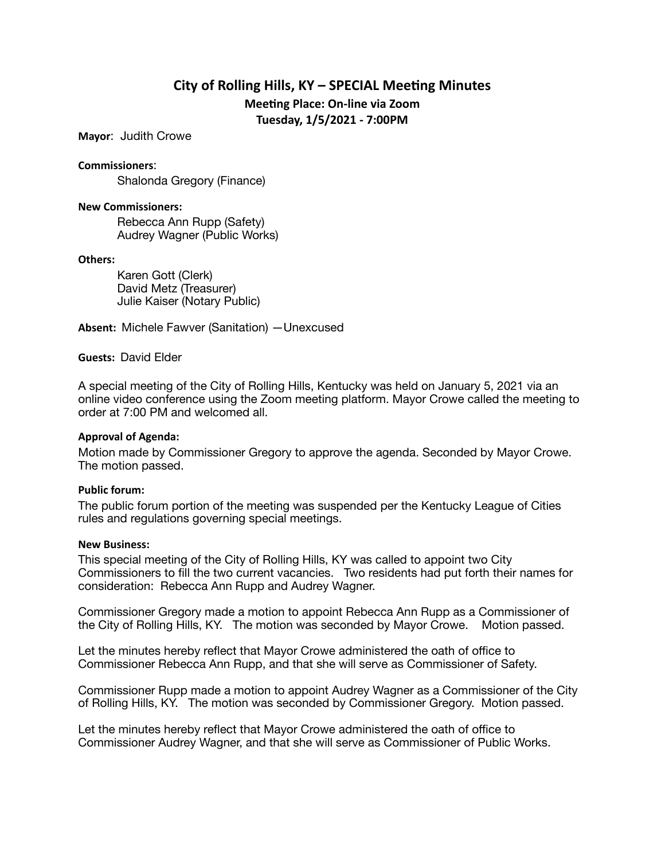# **City of Rolling Hills, KY – SPECIAL Meeting Minutes Meeting Place: On-line via Zoom**

**Tuesday, 1/5/2021 - 7:00PM** 

**Mayor**: Judith Crowe

**Commissioners**:

Shalonda Gregory (Finance)

#### **New Commissioners:**

Rebecca Ann Rupp (Safety) Audrey Wagner (Public Works)

#### **Others:**

Karen Gott (Clerk) David Metz (Treasurer) Julie Kaiser (Notary Public)

**Absent:** Michele Fawver (Sanitation) —Unexcused

**Guests:** David Elder

A special meeting of the City of Rolling Hills, Kentucky was held on January 5, 2021 via an online video conference using the Zoom meeting platform. Mayor Crowe called the meeting to order at 7:00 PM and welcomed all.

## **Approval of Agenda:**

Motion made by Commissioner Gregory to approve the agenda. Seconded by Mayor Crowe. The motion passed.

## **Public forum:**

The public forum portion of the meeting was suspended per the Kentucky League of Cities rules and regulations governing special meetings.

#### **New Business:**

This special meeting of the City of Rolling Hills, KY was called to appoint two City Commissioners to fill the two current vacancies. Two residents had put forth their names for consideration: Rebecca Ann Rupp and Audrey Wagner.

Commissioner Gregory made a motion to appoint Rebecca Ann Rupp as a Commissioner of the City of Rolling Hills, KY. The motion was seconded by Mayor Crowe. Motion passed.

Let the minutes hereby reflect that Mayor Crowe administered the oath of office to Commissioner Rebecca Ann Rupp, and that she will serve as Commissioner of Safety.

Commissioner Rupp made a motion to appoint Audrey Wagner as a Commissioner of the City of Rolling Hills, KY. The motion was seconded by Commissioner Gregory. Motion passed.

Let the minutes hereby reflect that Mayor Crowe administered the oath of office to Commissioner Audrey Wagner, and that she will serve as Commissioner of Public Works.